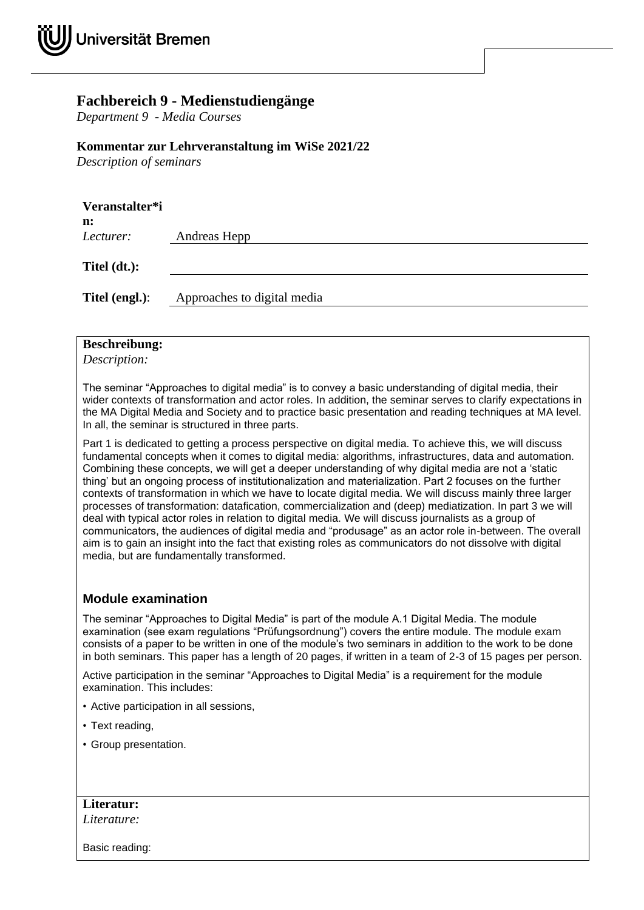## **Fachbereich 9 - Medienstudiengänge**

*Department 9 - Media Courses*

## **Kommentar zur Lehrveranstaltung im WiSe 2021/22**

*Description of seminars*

| Veranstalter*i<br>n: |                             |
|----------------------|-----------------------------|
| Lecturer:            | Andreas Hepp                |
| Titel $(dt.):$       |                             |
| Titel (engl.):       | Approaches to digital media |

## **Beschreibung:**

*Description:*

The seminar "Approaches to digital media" is to convey a basic understanding of digital media, their wider contexts of transformation and actor roles. In addition, the seminar serves to clarify expectations in the MA Digital Media and Society and to practice basic presentation and reading techniques at MA level. In all, the seminar is structured in three parts.

Part 1 is dedicated to getting a process perspective on digital media. To achieve this, we will discuss fundamental concepts when it comes to digital media: algorithms, infrastructures, data and automation. Combining these concepts, we will get a deeper understanding of why digital media are not a 'static thing' but an ongoing process of institutionalization and materialization. Part 2 focuses on the further contexts of transformation in which we have to locate digital media. We will discuss mainly three larger processes of transformation: datafication, commercialization and (deep) mediatization. In part 3 we will deal with typical actor roles in relation to digital media. We will discuss journalists as a group of communicators, the audiences of digital media and "produsage" as an actor role in-between. The overall aim is to gain an insight into the fact that existing roles as communicators do not dissolve with digital media, but are fundamentally transformed.

## **Module examination**

The seminar "Approaches to Digital Media" is part of the module A.1 Digital Media. The module examination (see exam regulations "Prüfungsordnung") covers the entire module. The module exam consists of a paper to be written in one of the module's two seminars in addition to the work to be done in both seminars. This paper has a length of 20 pages, if written in a team of 2-3 of 15 pages per person.

Active participation in the seminar "Approaches to Digital Media" is a requirement for the module examination. This includes:

- Active participation in all sessions,
- Text reading,
- Group presentation.

**Literatur:** *Literature:*

Basic reading: